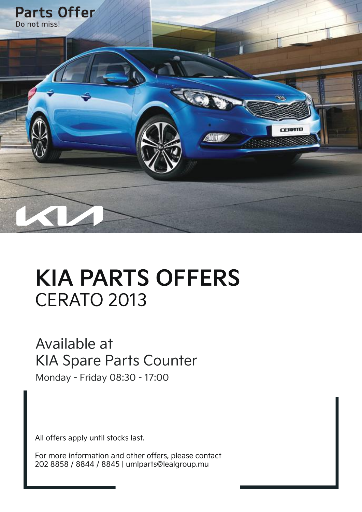

# **KIA PARTS OFFERS** CERATO 2013

#### Available at KIA Spare Parts Counter

Monday - Friday 08:30 - 17:00

All offers apply until stocks last.

For more information and other offers, please contact 202 8858 / 8844 / 8845 | umlparts@lealgroup.mu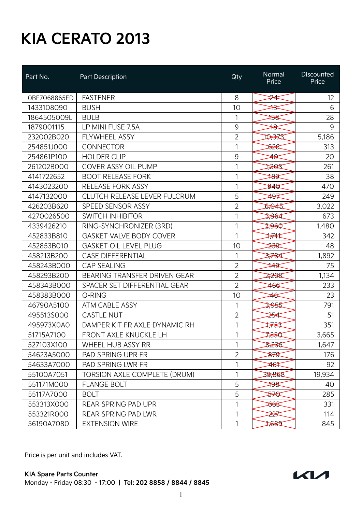| Part No.     | <b>Part Description</b>             | Qty            | Normal<br>Price  | <b>Discounted</b><br>Price |
|--------------|-------------------------------------|----------------|------------------|----------------------------|
| OBF7068865ED | <b>FASTENER</b>                     | 8              | <del>24</del>    | 12                         |
| 1433108090   | <b>BUSH</b>                         | 10             | ╬                | 6                          |
| 1864505009L  | <b>BULB</b>                         | 1              | ≯ਤੋ              | 28                         |
| 1879001115   | LP MINI FUSE 7.5A                   | $9\,$          | ₩                | 9                          |
| 232002B020   | <b>FLYWHEEL ASSY</b>                | $\overline{2}$ | क्तिस्र          | 5,186                      |
| 254851J000   | <b>CONNECTOR</b>                    | 1              | \$26             | 313                        |
| 254861P100   | <b>HOLDER CLIP</b>                  | 9              | ≄⊖               | 20                         |
| 261202B000   | COVER ASSY OIL PUMP                 | 1              | ≫िद              | 261                        |
| 4141722652   | <b>BOOT RELEASE FORK</b>            | 1              | १८९              | 38                         |
| 4143023200   | <b>RELEASE FORK ASSY</b>            | 1              | ≫∜€              | 470                        |
| 4147132000   | CLUTCH RELEASE LEVER FULCRUM        | 5              | ≄ <del>9</del> ≢ | 249                        |
| 426203B620   | SPEED SENSOR ASSY                   | $\overline{2}$ | 5,045            | 3,022                      |
| 4270026500   | <b>SWITCH INHIBITOR</b>             | 1              | 3,364            | 673                        |
| 4339426210   | RING-SYNCHRONIZER (3RD)             | 1              | 2,960            | 1,480                      |
| 452833B810   | GASKET VALVE BODY COVER             | 1              | ₩                | 342                        |
| 452853B010   | <b>GASKET OIL LEVEL PLUG</b>        | 10             | <del>≫র</del>    | 48                         |
| 458213B200   | <b>CASE DIFFERENTIAL</b>            | 1              | 3,784            | 1,892                      |
| 458243B000   | <b>CAP SEALING</b>                  | $\overline{2}$ | ≯¥\$             | 75                         |
| 458293B200   | BEARING TRANSFER DRIVEN GEAR        | $\overline{2}$ | 2,268            | 1,134                      |
| 458343B000   | SPACER SET DIFFERENTIAL GEAR        | $\overline{2}$ | 466              | 233                        |
| 458383B000   | O-RING                              | 10             | ≄€               | 23                         |
| 46790A5100   | ATM CABLE ASSY                      | 1              | 3,955            | 791                        |
| 495513SOOO   | <b>CASTLE NUT</b>                   | $\overline{2}$ | <del>≱⊀</del>    | 51                         |
| 495973X0A0   | DAMPER KIT FR AXLE DYNAMIC RH       | 1              | स्ट्रस्          | 351                        |
| 51715A7100   | <b>FRONT AXLE KNUCKLE LH</b>        | 1              | 7330             | 3,665                      |
| 527103X100   | WHEEL HUB ASSY RR                   | 1              | 8,236            | 1,647                      |
| 54623A5000   | <b>PAD SPRING UPR FR</b>            | $\overline{2}$ | क्ष्ट्र          | 176                        |
| 54633A7000   | PAD SPRING LWR FR                   | 1              | ≄6≭              | 92                         |
| 55100A7051   | <b>TORSION AXLE COMPLETE (DRUM)</b> | 1              | 39,868           | 19,934                     |
| 551171M000   | <b>FLANGE BOLT</b>                  | 5              | ₩                | 40                         |
| 55117A7000   | <b>BOLT</b>                         | 5              | <del>≥∕€</del>   | 285                        |
| 553313X000   | REAR SPRING PAD UPR                 | 1              | <del>663</del>   | 331                        |
| 553321R000   | <b>REAR SPRING PAD LWR</b>          | 1              | <del>⊉≵</del>    | 114                        |
| 56190A7080   | <b>EXTENSION WIRE</b>               | 1              | ‡हुड़ी           | 845                        |

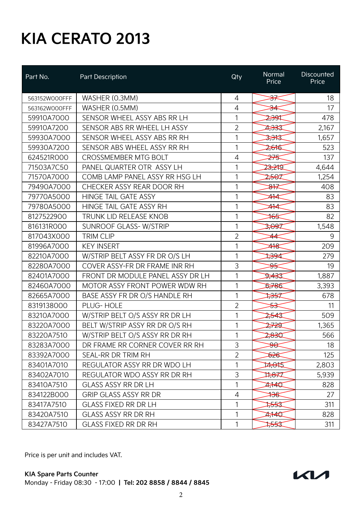| Part No.      | Part Description                 | Qty            | Normal<br>Price | Discounted<br>Price |
|---------------|----------------------------------|----------------|-----------------|---------------------|
| 563152W000FFF | WASHER (0.3MM)                   | $\overline{4}$ | <del>೫⊀</del>   | 18                  |
| 563162W000FFF | WASHER (0.5MM)                   | 4              | <del>⊅≼</del>   | 17                  |
| 59910A7000    | SENSOR WHEEL ASSY ABS RR LH      | 1              | ≫ुख             | 478                 |
| 59910A7200    | SENSOR ABS RR WHEEL LH ASSY      | $\overline{2}$ | 2,333           | 2,167               |
| 59930A7000    | SENSOR WHEEL ASSY ABS RR RH      | 1              | 2,343           | 1,657               |
| 59930A7200    | SENSOR ABS WHEEL ASSY RR RH      | 1              | 2,616           | 523                 |
| 624521R000    | <b>CROSSMEMBER MTG BOLT</b>      | 4              | <del>≱⁄s</del>  | 137                 |
| 71503A7C50    | PANEL QUARTER OTR ASSY LH        | 1              | 23,21T          | 4,644               |
| 71570A7000    | COMB LAMP PANEL ASSY RR HSG LH   | 1              | 2567            | 1,254               |
| 79490A7000    | CHECKER ASSY REAR DOOR RH        | 1              | ₩               | 408                 |
| 79770A5000    | HINGE TAIL GATE ASSY             | 1              | $\cancel{+}$    | 83                  |
| 79780A5000    | HINGE TAIL GATE ASSY RH          | 1              | ≄¥              | 83                  |
| 8127522900    | TRUNK LID RELEASE KNOB           | 1              | ₩               | 82                  |
| 816131R000    | <b>SUNROOF GLASS-W/STRIP</b>     | 1              | 3,097           | 1,548               |
| 817043X000    | <b>TRIM CLIP</b>                 | $\overline{2}$ | 44              | 9                   |
| 81996A7000    | <b>KEY INSERT</b>                | 1              | ≄₩              | 209                 |
| 82210A7000    | W/STRIP BELT ASSY FR DR O/S LH   | 1              | ≫94             | 279                 |
| 82280A7000    | COVER ASSY-FR DR FRAME INR RH    | 3              | क्ह             | 19                  |
| 82401A7000    | FRONT DR MODULE PANEL ASSY DR LH | 1              | 27433           | 1,887               |
| 82460A7000    | MOTOR ASSY FRONT POWER WDW RH    | 1              | 5,786           | 3,393               |
| 82665A7000    | BASE ASSY FR DR O/S HANDLE RH    | 1              | <del>⊅⊰</del>   | 678                 |
| 8319138000    | PLUG-HOLE                        | $\overline{2}$ | <del>≾≼</del>   | 11                  |
| 83210A7000    | W/STRIP BELT O/S ASSY RR DR LH   | 1              | 2543            | 509                 |
| 83220A7000    | BELT W/STRIP ASSY RR DR O/S RH   | 1              | 2729            | 1,365               |
| 83220A7510    | W/STRIP BELT O/S ASSY RR DR RH   | 1              | 2,830           | 566                 |
| 83283A7000    | DR FRAME RR CORNER COVER RR RH   | 3              | <del>Ŋ€</del>   | 18                  |
| 83392A7000    | SEAL-RR DR TRIM RH               | $\overline{2}$ | क्रिस           | 125                 |
| 83401A7010    | REGULATOR ASSY RR DR WDO LH      | 1              | 14,045          | 2,803               |
| 83402A7010    | REGULATOR WDO ASSY RR DR RH      | 3              | 11,877          | 5,939               |
| 83410A7510    | <b>GLASS ASSY RR DR LH</b>       | 1              | <b>A140</b>     | 828                 |
| 834122B000    | <b>GRIP GLASS ASSY RR DR</b>     | 4              | ₩               | 27                  |
| 83417A7510    | <b>GLASS FIXED RR DR LH</b>      | 1              | ≫स्द            | 311                 |
| 83420A7510    | <b>GLASS ASSY RR DR RH</b>       | 1              | <b>4740</b>     | 828                 |
| 83427A7510    | <b>GLASS FIXED RR DR RH</b>      | 1              | ≫स्द            | 311                 |

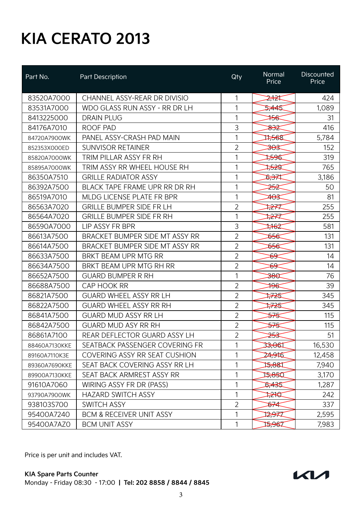| Part No.      | Part Description                     | Qty            | Normal<br>Price   | Discounted<br>Price |
|---------------|--------------------------------------|----------------|-------------------|---------------------|
| 83520A7000    | CHANNEL ASSY-REAR DR DIVISIO         | 1              | 2,124             | 424                 |
| 83531A7000    | WDO GLASS RUN ASSY - RR DR LH        | 1              | 5,445             | 1,089               |
| 8413225000    | <b>DRAIN PLUG</b>                    | 1              | ₩                 | 31                  |
| 84176A7010    | ROOF PAD                             | 3              | <del>೫</del>      | 416                 |
| 84720A7900WK  | PANEL ASSY-CRASH PAD MAIN            | 1              | 11,568            | 5,784               |
| 852353X000ED  | <b>SUNVISOR RETAINER</b>             | $\overline{2}$ | <del>303</del>    | 152                 |
| 85820A7000WK  | TRIM PILLAR ASSY FR RH               | 1              | 1596              | 319                 |
| 85895A7000WK  | TRIM ASSY RR WHEEL HOUSE RH          | 1              | ≫≹                | 765                 |
| 86350A7510    | <b>GRILLE RADIATOR ASSY</b>          | 1              | <b>DSSA</b>       | 3,186               |
| 86392A7500    | BLACK TAPE FRAME UPR RR DR RH        | 1              | <del>≲ئ</del>     | 50                  |
| 86519A7010    | MLDG LICENSE PLATE FR BPR            | 1              | <del>403</del>    | 81                  |
| 86563A7020    | <b>GRILLE BUMPER SIDE FR LH</b>      | $\overline{2}$ | <del>⊅≵</del>     | 255                 |
| 86564A7020    | <b>GRILLE BUMPER SIDE FR RH</b>      | 1              | ≵¥                | 255                 |
| 86590A7000    | LIP ASSY FR BPR                      | 3              | ≭ <del>⊀</del> €2 | 581                 |
| 86613A7500    | BRACKET BUMPER SIDE MT ASSY RR       | $\overline{2}$ | <del>856</del>    | 131                 |
| 86614A7500    | BRACKET BUMPER SIDE MT ASSY RR       | $\overline{2}$ | ৯২€               | 131                 |
| 86633A7500    | BRKT BEAM UPR MTG RR                 | $\overline{2}$ | <del>89</del>     | 14                  |
| 86634A7500    | BRKT BEAM UPR MTG RH RR              | $\overline{2}$ | ક્ક               | 14                  |
| 86652A7500    | <b>GUARD BUMPER R RH</b>             | 1              | <del>280</del>    | 76                  |
| 86688A7500    | CAP HOOK RR                          | $\overline{2}$ | ¥¥                | 39                  |
| 86821A7500    | <b>GUARD WHEEL ASSY RR LH</b>        | $\overline{2}$ | ‡≉≾               | 345                 |
| 86822A7500    | <b>GUARD WHEEL ASSY RR RH</b>        | $\overline{2}$ | ⊅≵\$              | 345                 |
| 86841A7500    | <b>GUARD MUD ASSY RR LH</b>          | $\overline{2}$ | <del>⋝∕</del>     | 115                 |
| 86842A7500    | <b>GUARD MUD ASY RR RH</b>           | $\overline{2}$ | <del>⋝∕</del> ड   | 115                 |
| 86861A7100    | REAR DEFLECTOR GUARD ASSY LH         | $\overline{2}$ | <del>≳ر</del> ح   | 51                  |
| 88460A7130KKE | SEATBACK PASSENGER COVERING FR       | 1              | 33,061            | 16,530              |
| 89160A7110K3E | <b>COVERING ASSY RR SEAT CUSHION</b> | 1              | 24,916            | 12,458              |
| 89360A7690KKE | SEAT BACK COVERING ASSY RR LH        | 1              | 13,881            | 7,940               |
| 89900A7130KKE | SEAT BACK ARMREST ASSY RR            | 1              | 15,850            | 3,170               |
| 91610A7060    | WIRING ASSY FR DR (PASS)             | 1              | 5,435             | 1,287               |
| 93790A7900WK  | <b>HAZARD SWITCH ASSY</b>            | 1              | ⊅¥⊄               | 242                 |
| 938103S700    | <b>SWITCH ASSY</b>                   | $\overline{2}$ | क≠⊄               | 337                 |
| 95400A7240    | <b>BCM &amp; RECEIVER UNIT ASSY</b>  | 1              | 12,977            | 2,595               |
| 95400A7AZ0    | <b>BCM UNIT ASSY</b>                 | 1              | 15,967            | 7,983               |